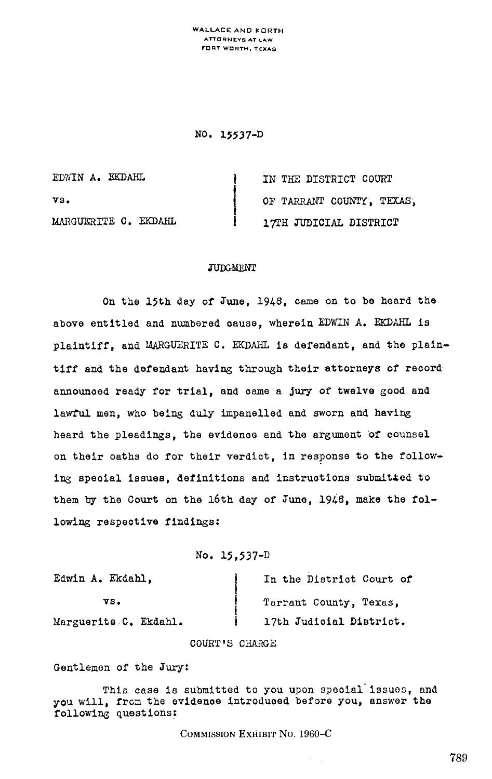WALLACE AND KORTH ATTORNEYS AT LAW FORT WORTH, TEXAB

NO- 13537-D

| EDWIN A. EKDAHL      | IN THE DISTRICT COURT     |
|----------------------|---------------------------|
| vs.                  | OF TARRANT COUNTY, TEXAS, |
| MARGUERITE C. EKDAHL | 17TH JUDICIAL DISTRICT    |

## **JUDGMENT**

On the 15th day of June, 1946, came on to be heard the above entitled and numbered cause, wherein EDWIN A. EKDAHL is plaintiff, and MARGUERITE C. EKDAHL is defendant, and the plaintiff and the defendant having through their attorneys of record announced ready for trial, and came a jury of twelve good and lawful men, who being duly impanalled and sworn and having heard the pleadings, the evidence and the argument of counsel on their oaths do for their verdict, in response to the following special issues, definitions and instructions submit4ed to them by the Court on the 16th day of June, 1948, make the following respective findings:

No. 15,537-D

| Edwin A. Ekdahl,      | In the District Court of |
|-----------------------|--------------------------|
| VS.                   | Tarrant County, Texas,   |
| Marguerite C. Ekdahl. | 17th Judicial District.  |

## COURT'S CHARGE

Gentlemen of the Jury:

This case is submitted to you upon special issues, and you will, from the evidence introduced before you, answer the following questions :

COMMISSION EXHIBIT NO. 1960-C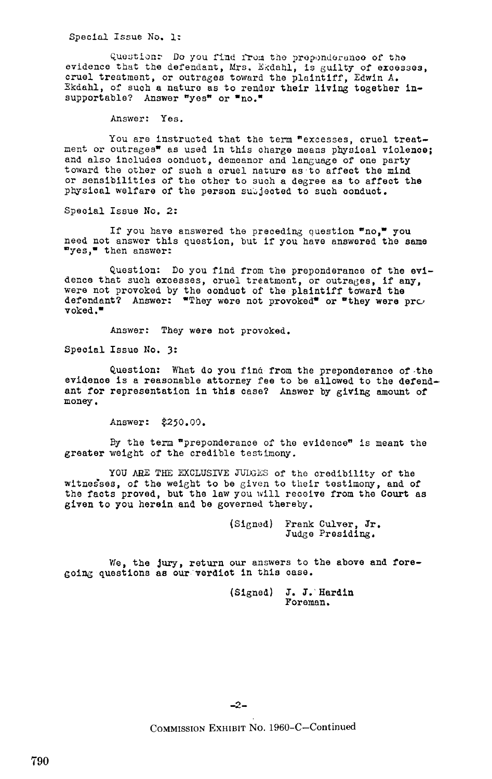Special Issue No. I.-

Question: Do you find from the preponderance of the evidence that the defendant, Mrs. Ekdahl, is guilty of excesses, cruel treatment, or outrages toward the plaintiff, Edwin A. Ekdahl, of such a nature as to render their living together insupportable? Answer "yes" or "no."

Answer: Yes.

You are instructed that the term "excesses, cruel treatment or outrages" as used in this charge means physical violence; and also includes conduct, demeanor and language of one party toward the other of such a cruel nature as to affect the mind or sensibilities of the other to such a degree as to affect the physical welfare of the person subjected to such conduct.

Special Issue No. 2:

If you have answered the preceding question  $\bullet$ no," you need not answer this question, but if you have answered the same 'yes," then answer:

Question: Do you find from the preponderance of the evidence that such excesses, cruel treatment, or outrages, if any, were not provoked by the conduct of the plaintiff toward the defendant? Answer: "They were not provoked" or "they were pr $\cup$  $\mathbf{v}$ oked."

Answer: They were not provoked .

Special Issue No. 3:

Question: What do you find from the preponderance of the evidence is a reasonable attorney fee to be allowed to the defendant for representation in this case? Answer by giving amount of money .

Answer: \$250.00.

By the term "preponderance of the evidence" is meant the greater weight of the credible testimony.

YOU ARE THE EXCLUSIVE JUIGES of the credibility of the witnesses, of the weight to be given to their testimony, and of the facts proved, but the law you will receive from the Court as given to you herein and be governed thereby .

> (Signed) Frank Culver, Jr . Judge Presiding .

We, the jury, return our answers to the above and foregoing questions as our verdict in this case.

> (Signed) J. J.'Hardin Foreman.

 $-2-$ 

COMMISSION EXHIBIT No. 1960-C-Continued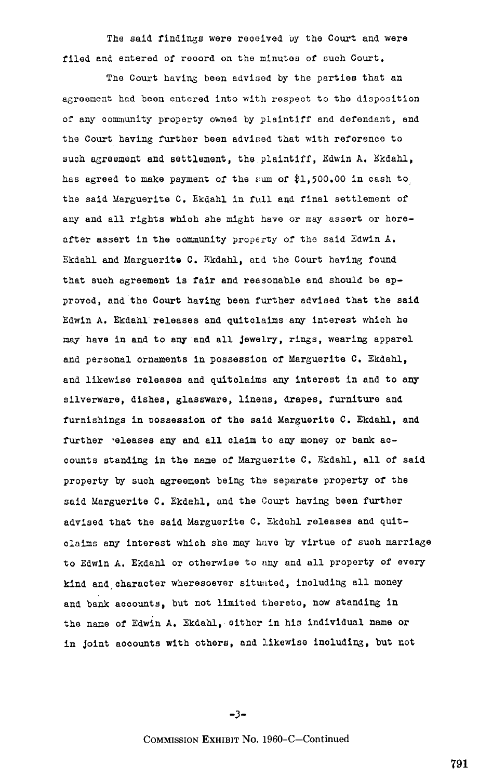The said findings were received by the Court and were filed and entered of record on the minutes of such Court.

The Court having been advised by the parties that an agreement had been entered into with respect to the disposition of any community property owned by plaintiff and defendant, and the Court having further been advised that with reference to such agreement and settlement, tha plaintiff, Edwin A. Ekdahl, has agreed to make payment of the sum of \$1,500.00 in cash to the said Marguerite C. Ekdahl in full and final settlement of any and all rights which she might have or may assert or hereafter assert in the community property of the said Edwin A. Ekdahl and Marguerite C, Ekdahl, and the Court having found that such agreement is fair and reasonable and should be approved, and the Court having been further advised that the said Edwin A. Ekdahl releases and quitolaims any interest which he may have in and to any and all jewelry, rings, wearing apparel and personal ornaments in possession of Marguerite C. Ekdahl, and likewise releases and quitolaims any interest in and to any silverware, dishes, glassware, linens, drapes, furniture and furnishings in possession of the said Marguerite C. Ekdahl, and further eleases any and all claim to any money or bank accounts standing in the name of Marguerite C, Ekdahl, all of said property by such agreement being the separate property of the said Marguerite C, Ekdahl, and the Court having been further advised that the said Marguerite C. Ekdahl releases and quitclaims any interest which she may have by virtue of such marriage to Edwin A. Ekdahl or otherwise to any and all property of every kind and character wheresoever situated, including all money and bank accounts, but not limited thereto, now standing in the name of Edwin A. Ekdahl, either in his individual name or in joint accounts with others, and likewise including, but not

 $-3-$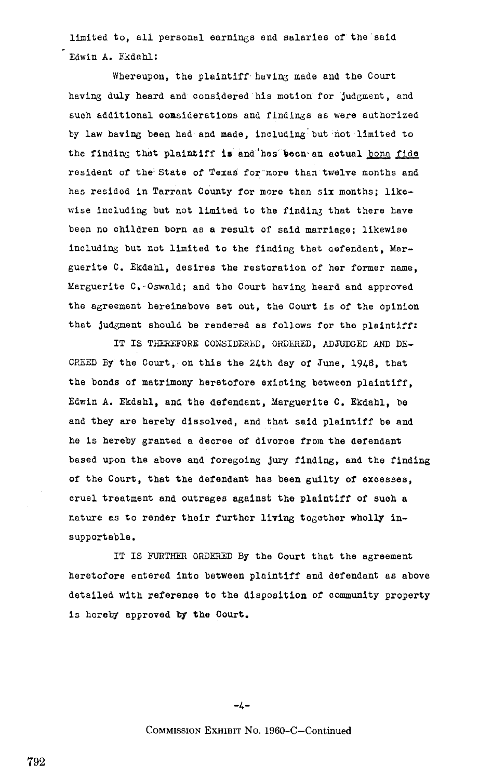limited to, all personal earnings end salaries of the'said Edwin A. Fkdahl:

Whereupon, the plaintiff having made and the Court having duly heard and considered his motion for judgment, and such additional considerations and findings as were authorized by law having been had and made, including but not limited to the finding that plaintiff is and has been an actual bona fide resident of the: State of Texas for'more than twelve months and has resided in Tarrant County for more than six months; likewise including but not limited to the finding that there have been no children born as a result of said marriage; likewise including but not limited to the finding that aefendant, Marguerite C. Ekdahl, desires the restoration of her former name. Marguerite C.-Oswald; and the Court having heard and approved the agreement hereinabove set out, the Court is of the opinion that judgment should be rendered as follows for the plaintiff:

IT IS THEREFORE CONSIDERED, ORDERED, ADJUDGED AND DE-CREED By the Court, on this the 24th day of June, 1948, that the bonds of matrimony heretofore existing between plaintiff, Edwin A. Ekdahl, and the defendant, Marguerite C. Ekdahl, be and they are hereby dissolved, and that said plaintiff be and he is hereby granted a decree of divorce from the defendant based upon the above and foregoing jury finding, and the finding of the Court, that the defendant has been guilty of excesses, cruel treatment and outrages against the plaintiff of such a nature as to render their further living together wholly insupportable .

IT IS FURTHER ORDERED By the Court that the agreement heretofore entered into between plaintiff and defendant as above detailed with reference to the disposition of community property is horeby approved by the Court.

 $-4-$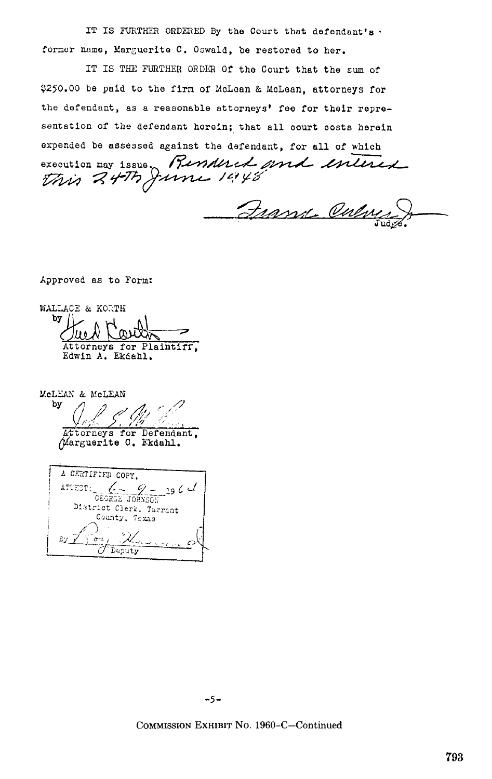IT IS FURTHER ORDERED By the Court that defendant's. former name, Marguerite C. Oswald, be restored to her.

IT IS THE FURTHER ORDER Of the Court that the sum of \$250.00 be paid to the firm of McLean & McLean, attorneys for the defendant, as a reasonable attorneys' fee for their representation of the defendant herein; that all court costs herein expended be assessed against the defendant, for all of which Rendered and enlised execution may issue. this 24th

rune 19148

France Oul

Approved as to Form:

WALLACE & KORTH by | Attorneys for Plaintiff, Edwin A. Ekdahl.

McLEAN & McLEAN Ъy Attorneys for Defendant, Marguerite C. Ekdahl.

A CERTIFIED COPY. GEORGE JOHNSON 19 6 C ATIEST: District Clerk, Tarrant County, Texas By y  $\overline{a}$ Deputy

 $-5-$ 

COMMISSION EXHIBIT No. 1960-C-Continued